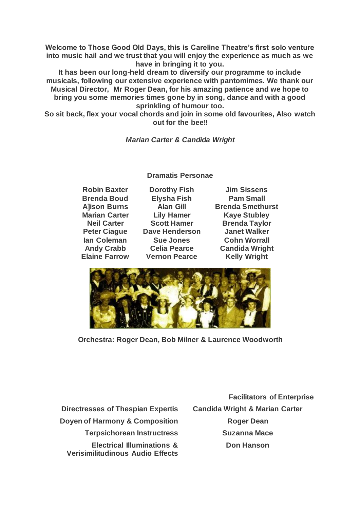**Welcome to Those Good Old Days, this is Careline Theatre's first solo venture into music hail and we trust that you will enjoy the experience as much as we have in bringing it to you.**

**It has been our long-held dream to diversify our programme to include musicals, following our extensive experience with pantomimes. We thank our Musical Director, Mr Roger Dean, for his amazing patience and we hope to bring you some memories times gone by in song, dance and with a good sprinkling of humour too.**

**So sit back, flex your vocal chords and join in some old favourites, Also watch out for the bee!!**

*Marian Carter & Candida Wright*

**Dramatis Personae**

**Robin Baxter Brenda Boud A]ison Burns Marian Carter Neil Carter Peter Ciague Ian Coleman Andy Crabb Elaine Farrow**

**Dorothy Fish Elysha Fish Alan Gill Lily Hamer Scott Hamer Dave Henderson Sue Jones Celia Pearce Vernon Pearce**

**Jim Sissens Pam Small Brenda Smethurst Kaye Stubley Brenda Taylor Janet Walker Cohn Worrall Candida Wright Kelly Wright**



**Orchestra: Roger Dean, Bob Milner & Laurence Woodworth**

**Directresses of Thespian Expertis Candida Wright & Marian Carter Doyen of Harmony & Composition <b>Roger Dean Terpsichorean Instructress Suzanna Mace Electrical Illuminations & Verisimilitudinous Audio Effects**

**Facilitators of Enterprise Don Hanson**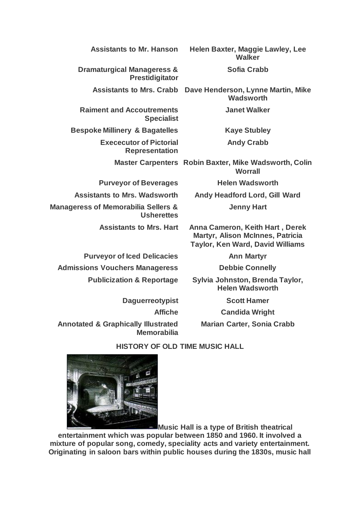| Helen Baxter, Maggie Lawley, Lee<br><b>Walker</b>                                                              |  |
|----------------------------------------------------------------------------------------------------------------|--|
| <b>Sofia Crabb</b>                                                                                             |  |
| Dave Henderson, Lynne Martin, Mike<br><b>Wadsworth</b>                                                         |  |
| <b>Janet Walker</b>                                                                                            |  |
| <b>Kaye Stubley</b>                                                                                            |  |
| <b>Andy Crabb</b>                                                                                              |  |
| Master Carpenters Robin Baxter, Mike Wadsworth, Colin<br><b>Worrall</b>                                        |  |
| <b>Helen Wadsworth</b>                                                                                         |  |
| <b>Andy Headford Lord, Gill Ward</b>                                                                           |  |
| <b>Jenny Hart</b>                                                                                              |  |
| Anna Cameron, Keith Hart, Derek<br>Martyr, Alison McInnes, Patricia<br><b>Taylor, Ken Ward, David Williams</b> |  |
| <b>Ann Martyr</b>                                                                                              |  |
| <b>Debbie Connelly</b>                                                                                         |  |
| Sylvia Johnston, Brenda Taylor,<br><b>Helen Wadsworth</b>                                                      |  |
| <b>Scott Hamer</b>                                                                                             |  |
| <b>Candida Wright</b>                                                                                          |  |
| <b>Marian Carter, Sonia Crabb</b>                                                                              |  |
| <b>HISTORY OF OLD TIME MUSIC HALL</b>                                                                          |  |
|                                                                                                                |  |



**Music Hall is a type of British theatrical** 

**entertainment which was popular between 1850 and 1960. It involved a mixture of popular song, comedy, speciality acts and variety entertainment. Originating in saloon bars within public houses during the 1830s, music hall**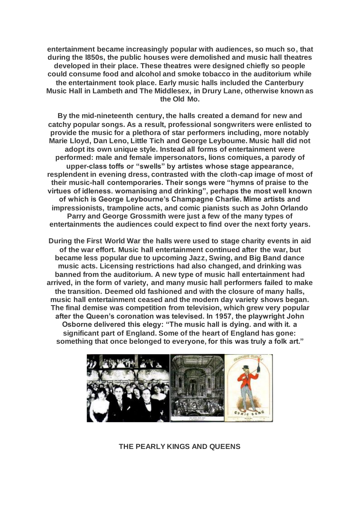**entertainment became increasingly popular with audiences, so much so, that during the l850s, the public houses were demolished and music hall theatres developed in their place. These theatres were designed chiefly so people could consume food and alcohol and smoke tobacco in the auditorium while the entertainment took place. Early music halls included the Canterbury Music Hall in Lambeth and The Middlesex, in Drury Lane, otherwise known as the Old Mo.**

**By the mid-nineteenth century, the halls created a demand for new and catchy popular songs. As a result, professional songwriters were enlisted to provide the music for a plethora of star performers including, more notably Marie Lloyd, Dan Leno, Little Tich and George Leyboume. Music hall did not adopt its own unique style. Instead all forms of entertainment were performed: male and female impersonators, lions comiques, a parody of upper-class toffs or "swells" by artistes whose stage appearance, resplendent in evening dress, contrasted with the cloth-cap image of most of their music-hall contemporaries. Their songs were "hymns of praise to the virtues of idleness. womanising and drinking", perhaps the most well known of which is George Leybourne's Champagne Charlie. Mime artists and impressionists, trampoline acts, and comic pianists such as John Orlando Parry and George Grossmith were just a few of the many types of entertainments the audiences could expect to find over the next forty years.**

**During the First World War the halls were used to stage charity events in aid of the war effort. Music hall entertainment continued after the war, but became less popular due to upcoming Jazz, Swing, and Big Band dance music acts. Licensing restrictions had also changed, and drinking was banned from the auditorium. A new type of music hall entertainment had arrived, in the form of variety, and many music hall performers failed to make the transition. Deemed old fashioned and with the closure of many halls, music hall entertainment ceased and the modern day variety shows began. The final demise was competition from television, which grew very popular after the Queen's coronation was televised. In 1957, the playwright John Osborne delivered this elegy: "The music hall is dying. and with it. a significant part of England. Some of the heart of England has gone: something that once belonged to everyone, for this was truly a folk art."**



**THE PEARLY KINGS AND QUEENS**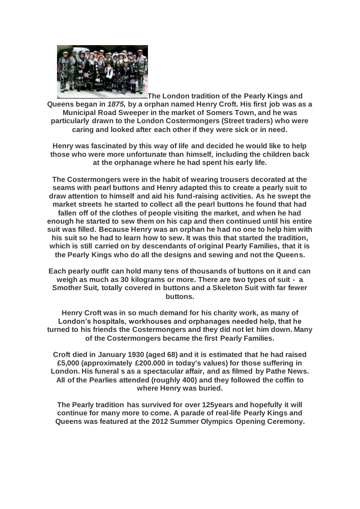

**The London tradition of the Pearly Kings and Queens began in** *1875,* **by a orphan named Henry Croft. His first job was as a Municipal Road Sweeper in the market of Somers Town, and he was particularly drawn to the London Costermongers (Street traders) who were caring and looked after each other if they were sick or in need.**

**Henry was fascinated by this way of life and decided he would like to help those who were more unfortunate than himself, including the children back at the orphanage where he had spent his early life.**

**The Costermongers were in the habit of wearing trousers decorated at the seams with pearl buttons and Henry adapted this to create a pearly suit to draw attention to himself and aid his fund-raising activities. As he swept the market streets he started to collect all the pearl buttons he found that had fallen off of the clothes of people visiting the market, and when he had enough he started to sew them on his cap and then continued until his entire suit was filled. Because Henry was an orphan he had no one to help him with his suit so he had to learn how to sew. It was this that started the tradition, which is still carried on by descendants of original Pearly Families, that it is the Pearly Kings who do all the designs and sewing and not the Queens.**

**Each pearly outfit can hold many tens of thousands of buttons on it and can weigh as much as 30 kilograms or more. There are two types of suit - a Smother Suit, totally covered in buttons and a Skeleton Suit with far fewer buttons.**

**Henry Croft was in so much demand for his charity work, as many of London's hospitals, workhouses and orphanages needed help, that he turned to his friends the Costermongers and they did not let him down. Many of the Costermongers became the first Pearly Families.**

**Croft died in January 1930 (aged 68) and it is estimated that he had raised £5,000 (approximately £200.000 in today's values) for those suffering in London. His funeral s as a spectacular affair, and as filmed by Pathe News. All of the Pearlies attended (roughly 400) and they followed the coffin to where Henry was buried.**

**The Pearly tradition has survived for over 125years and hopefully it will continue for many more to come. A parade of real-life Pearly Kings and Queens was featured at the 2012 Summer Olympics Opening Ceremony.**